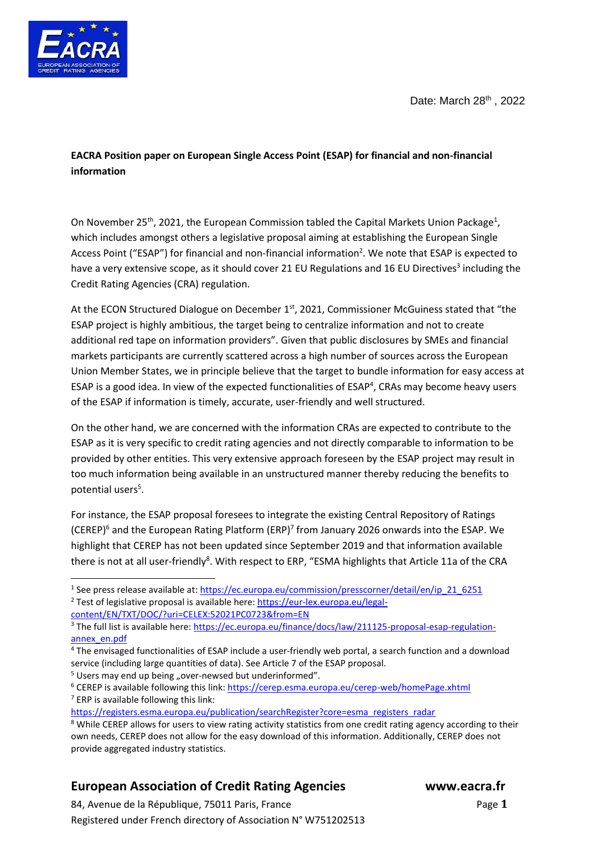Date: March 28<sup>th</sup>, 2022



**EACRA Position paper on European Single Access Point (ESAP) for financial and non-financial information**

On November 25<sup>th</sup>, 2021, the European Commission tabled the Capital Markets Union Package<sup>1</sup>, which includes amongst others a legislative proposal aiming at establishing the European Single Access Point ("ESAP") for financial and non-financial information<sup>2</sup>. We note that ESAP is expected to have a very extensive scope, as it should cover 21 EU Regulations and 16 EU Directives<sup>3</sup> including the Credit Rating Agencies (CRA) regulation.

At the ECON Structured Dialogue on December 1st, 2021, Commissioner McGuiness stated that "the ESAP project is highly ambitious, the target being to centralize information and not to create additional red tape on information providers". Given that public disclosures by SMEs and financial markets participants are currently scattered across a high number of sources across the European Union Member States, we in principle believe that the target to bundle information for easy access at ESAP is a good idea. In view of the expected functionalities of  $ESAP<sup>4</sup>$ , CRAs may become heavy users of the ESAP if information is timely, accurate, user-friendly and well structured.

On the other hand, we are concerned with the information CRAs are expected to contribute to the ESAP as it is very specific to credit rating agencies and not directly comparable to information to be provided by other entities. This very extensive approach foreseen by the ESAP project may result in too much information being available in an unstructured manner thereby reducing the benefits to potential users<sup>5</sup>.

For instance, the ESAP proposal foresees to integrate the existing Central Repository of Ratings (CEREP)<sup>6</sup> and the European Rating Platform (ERP)<sup>7</sup> from January 2026 onwards into the ESAP. We highlight that CEREP has not been updated since September 2019 and that information available there is not at all user-friendly<sup>8</sup>. With respect to ERP, "ESMA highlights that Article 11a of the CRA

 $5$  Users may end up being "over-newsed but underinformed".

<sup>6</sup> CEREP is available following this link[: https://cerep.esma.europa.eu/cerep-web/homePage.xhtml](https://cerep.esma.europa.eu/cerep-web/homePage.xhtml)  $<sup>7</sup>$  ERP is available following this link:</sup>

[https://registers.esma.europa.eu/publication/searchRegister?core=esma\\_registers\\_radar](https://registers.esma.europa.eu/publication/searchRegister?core=esma_registers_radar)

## **European Association of Credit Rating Agencies www.eacra.fr**

84, Avenue de la République, 75011 Paris, FrancePage **1** Registered under French directory of Association N° W751202513

<sup>&</sup>lt;sup>1</sup> See press release available at: [https://ec.europa.eu/commission/presscorner/detail/en/ip\\_21\\_6251](https://ec.europa.eu/commission/presscorner/detail/en/ip_21_6251)

<sup>&</sup>lt;sup>2</sup> Test of legislative proposal is available here: [https://eur-lex.europa.eu/legal-](https://eur-lex.europa.eu/legal-content/EN/TXT/DOC/?uri=CELEX:52021PC0723&from=EN)

[content/EN/TXT/DOC/?uri=CELEX:52021PC0723&from=EN](https://eur-lex.europa.eu/legal-content/EN/TXT/DOC/?uri=CELEX:52021PC0723&from=EN)

<sup>&</sup>lt;sup>3</sup> The full list is available here[: https://ec.europa.eu/finance/docs/law/211125-proposal-esap-regulation](https://ec.europa.eu/finance/docs/law/211125-proposal-esap-regulation-annex_en.pdf)[annex\\_en.pdf](https://ec.europa.eu/finance/docs/law/211125-proposal-esap-regulation-annex_en.pdf)

<sup>4</sup> The envisaged functionalities of ESAP include a user-friendly web portal, a search function and a download service (including large quantities of data). See Article 7 of the ESAP proposal.

<sup>&</sup>lt;sup>8</sup> While CEREP allows for users to view rating activity statistics from one credit rating agency according to their own needs, CEREP does not allow for the easy download of this information. Additionally, CEREP does not provide aggregated industry statistics.